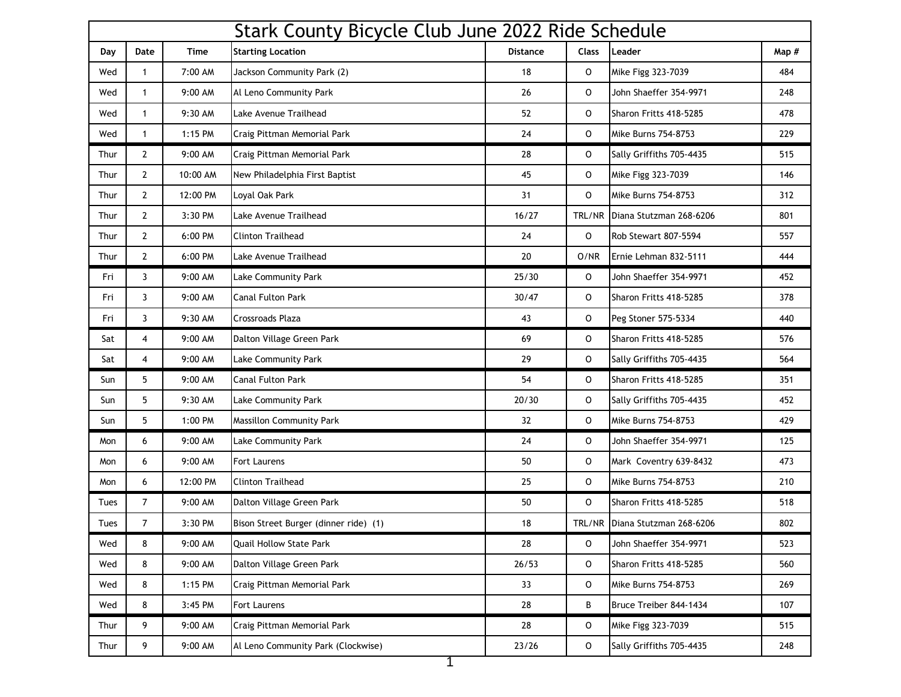|      | Stark County Bicycle Club June 2022 Ride Schedule |             |                                       |                 |              |                                |       |  |
|------|---------------------------------------------------|-------------|---------------------------------------|-----------------|--------------|--------------------------------|-------|--|
| Day  | Date                                              | <b>Time</b> | <b>Starting Location</b>              | <b>Distance</b> | <b>Class</b> | Leader                         | Map # |  |
| Wed  | $\mathbf{1}$                                      | 7:00 AM     | Jackson Community Park (2)            | 18              | 0            | Mike Figg 323-7039             | 484   |  |
| Wed  | $\mathbf{1}$                                      | 9:00 AM     | Al Leno Community Park                | 26              | 0            | John Shaeffer 354-9971         | 248   |  |
| Wed  | $\mathbf{1}$                                      | 9:30 AM     | Lake Avenue Trailhead                 | 52              | 0            | Sharon Fritts 418-5285         | 478   |  |
| Wed  | $\mathbf{1}$                                      | 1:15 PM     | Craig Pittman Memorial Park           | 24              | $\mathsf{o}$ | Mike Burns 754-8753            | 229   |  |
| Thur | $\overline{2}$                                    | 9:00 AM     | Craig Pittman Memorial Park           | 28              | 0            | Sally Griffiths 705-4435       | 515   |  |
| Thur | $\overline{2}$                                    | 10:00 AM    | New Philadelphia First Baptist        | 45              | 0            | Mike Figg 323-7039             | 146   |  |
| Thur | $\overline{2}$                                    | 12:00 PM    | Loyal Oak Park                        | 31              | O            | Mike Burns 754-8753            | 312   |  |
| Thur | $\overline{2}$                                    | 3:30 PM     | Lake Avenue Trailhead                 | 16/27           | TRL/NR       | Diana Stutzman 268-6206        | 801   |  |
| Thur | $\overline{2}$                                    | 6:00 PM     | <b>Clinton Trailhead</b>              | 24              | 0            | Rob Stewart 807-5594           | 557   |  |
| Thur | $\overline{2}$                                    | 6:00 PM     | Lake Avenue Trailhead                 | 20              | O/NR         | Ernie Lehman 832-5111          | 444   |  |
| Fri  | $\mathbf{3}$                                      | 9:00 AM     | Lake Community Park                   | 25/30           | 0            | John Shaeffer 354-9971         | 452   |  |
| Fri  | $\mathbf{3}$                                      | 9:00 AM     | <b>Canal Fulton Park</b>              | 30/47           | 0            | Sharon Fritts 418-5285         | 378   |  |
| Fri  | 3                                                 | 9:30 AM     | <b>Crossroads Plaza</b>               | 43              | O            | Peg Stoner 575-5334            | 440   |  |
| Sat  | $\overline{4}$                                    | 9:00 AM     | Dalton Village Green Park             | 69              | 0            | Sharon Fritts 418-5285         | 576   |  |
| Sat  | $\overline{4}$                                    | 9:00 AM     | Lake Community Park                   | 29              | O            | Sally Griffiths 705-4435       | 564   |  |
| Sun  | 5                                                 | 9:00 AM     | <b>Canal Fulton Park</b>              | 54              | $\circ$      | Sharon Fritts 418-5285         | 351   |  |
| Sun  | 5                                                 | 9:30 AM     | Lake Community Park                   | 20/30           | O            | Sally Griffiths 705-4435       | 452   |  |
| Sun  | 5                                                 | 1:00 PM     | <b>Massillon Community Park</b>       | 32              | 0            | Mike Burns 754-8753            | 429   |  |
| Mon  | 6                                                 | 9:00 AM     | Lake Community Park                   | 24              | 0            | John Shaeffer 354-9971         | 125   |  |
| Mon  | 6                                                 | 9:00 AM     | Fort Laurens                          | 50              | 0            | Mark Coventry 639-8432         | 473   |  |
| Mon  | 6                                                 | 12:00 PM    | <b>Clinton Trailhead</b>              | 25              | 0            | Mike Burns 754-8753            | 210   |  |
| Tues | $\overline{7}$                                    | 9:00 AM     | Dalton Village Green Park             | 50              | 0            | Sharon Fritts 418-5285         | 518   |  |
| Tues | $\overline{7}$                                    | 3:30 PM     | Bison Street Burger (dinner ride) (1) | 18              |              | TRL/NR Diana Stutzman 268-6206 | 802   |  |
| Wed  | 8                                                 | 9:00 AM     | <b>Quail Hollow State Park</b>        | 28              | 0            | John Shaeffer 354-9971         | 523   |  |
| Wed  | 8                                                 | 9:00 AM     | Dalton Village Green Park             | 26/53           | 0            | Sharon Fritts 418-5285         | 560   |  |
| Wed  | 8                                                 | 1:15 PM     | Craig Pittman Memorial Park           | 33              | 0            | Mike Burns 754-8753            | 269   |  |
| Wed  | 8                                                 | 3:45 PM     | <b>Fort Laurens</b>                   | 28              | В            | Bruce Treiber 844-1434         | 107   |  |
| Thur | 9                                                 | 9:00 AM     | Craig Pittman Memorial Park           | 28              | 0            | Mike Figg 323-7039             | 515   |  |
| Thur | 9                                                 | 9:00 AM     | Al Leno Community Park (Clockwise)    | 23/26           | 0            | Sally Griffiths 705-4435       | 248   |  |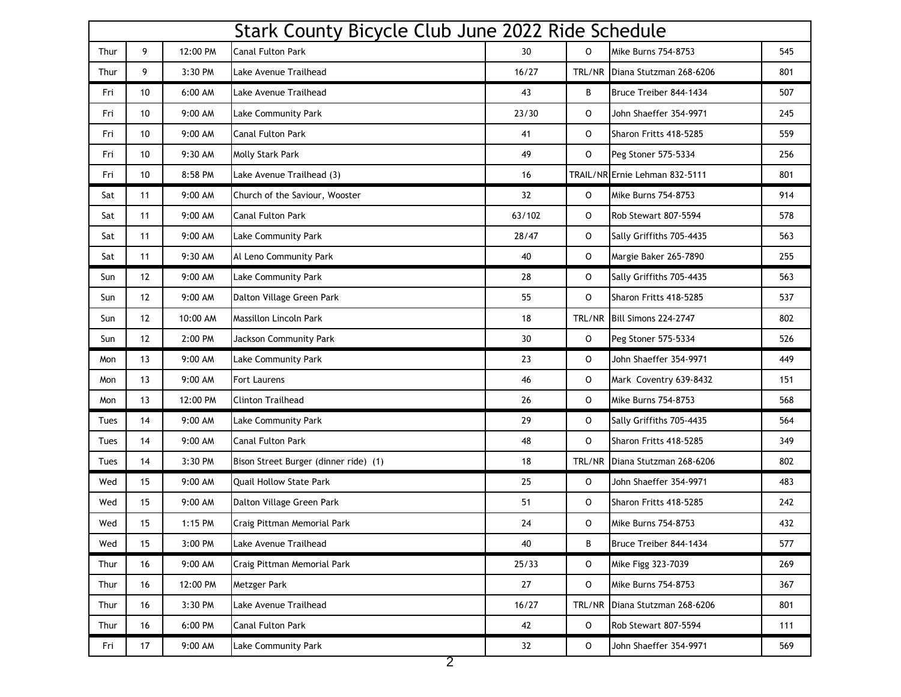| Stark County Bicycle Club June 2022 Ride Schedule |    |          |                                       |        |              |                                |     |
|---------------------------------------------------|----|----------|---------------------------------------|--------|--------------|--------------------------------|-----|
| Thur                                              | 9  | 12:00 PM | Canal Fulton Park                     | 30     | 0            | Mike Burns 754-8753            | 545 |
| Thur                                              | 9  | 3:30 PM  | Lake Avenue Trailhead                 | 16/27  | TRL/NR       | Diana Stutzman 268-6206        | 801 |
| Fri                                               | 10 | 6:00 AM  | Lake Avenue Trailhead                 | 43     | B            | Bruce Treiber 844-1434         | 507 |
| Fri                                               | 10 | 9:00 AM  | Lake Community Park                   | 23/30  | 0            | John Shaeffer 354-9971         | 245 |
| Fri                                               | 10 | 9:00 AM  | Canal Fulton Park                     | 41     | $\mathsf{o}$ | Sharon Fritts 418-5285         | 559 |
| Fri                                               | 10 | 9:30 AM  | Molly Stark Park                      | 49     | 0            | Peg Stoner 575-5334            | 256 |
| Fri                                               | 10 | 8:58 PM  | Lake Avenue Trailhead (3)             | 16     |              | TRAIL/NR Ernie Lehman 832-5111 | 801 |
| Sat                                               | 11 | 9:00 AM  | Church of the Saviour, Wooster        | 32     | 0            | <b>Mike Burns 754-8753</b>     | 914 |
| Sat                                               | 11 | 9:00 AM  | <b>Canal Fulton Park</b>              | 63/102 | $\mathsf{o}$ | Rob Stewart 807-5594           | 578 |
| Sat                                               | 11 | 9:00 AM  | Lake Community Park                   | 28/47  | 0            | Sally Griffiths 705-4435       | 563 |
| Sat                                               | 11 | 9:30 AM  | Al Leno Community Park                | 40     | $\mathsf{o}$ | Margie Baker 265-7890          | 255 |
| Sun                                               | 12 | 9:00 AM  | Lake Community Park                   | 28     | 0            | Sally Griffiths 705-4435       | 563 |
| Sun                                               | 12 | 9:00 AM  | Dalton Village Green Park             | 55     | 0            | Sharon Fritts 418-5285         | 537 |
| Sun                                               | 12 | 10:00 AM | Massillon Lincoln Park                | 18     | TRL/NR       | Bill Simons 224-2747           | 802 |
| Sun                                               | 12 | 2:00 PM  | Jackson Community Park                | $30\,$ | $\mathsf{o}$ | Peg Stoner 575-5334            | 526 |
| Mon                                               | 13 | 9:00 AM  | Lake Community Park                   | 23     | 0            | John Shaeffer 354-9971         | 449 |
| Mon                                               | 13 | 9:00 AM  | <b>Fort Laurens</b>                   | 46     | $\mathsf O$  | Mark Coventry 639-8432         | 151 |
| Mon                                               | 13 | 12:00 PM | <b>Clinton Trailhead</b>              | 26     | $\mathsf O$  | Mike Burns 754-8753            | 568 |
| Tues                                              | 14 | 9:00 AM  | Lake Community Park                   | 29     | $\mathsf{o}$ | Sally Griffiths 705-4435       | 564 |
| Tues                                              | 14 | 9:00 AM  | <b>Canal Fulton Park</b>              | 48     | 0            | Sharon Fritts 418-5285         | 349 |
| Tues                                              | 14 | 3:30 PM  | Bison Street Burger (dinner ride) (1) | 18     | TRL/NR       | Diana Stutzman 268-6206        | 802 |
| Wed                                               | 15 | 9:00 AM  | <b>Quail Hollow State Park</b>        | 25     | 0            | John Shaeffer 354-9971         | 483 |
| Wed                                               | 15 | 9:00 AM  | Dalton Village Green Park             | 51     | 0            | Sharon Fritts 418-5285         | 242 |
| Wed                                               | 15 | 1:15 PM  | Craig Pittman Memorial Park           | 24     | 0            | <b>Mike Burns 754-8753</b>     | 432 |
| Wed                                               | 15 | 3:00 PM  | Lake Avenue Trailhead                 | 40     | B            | Bruce Treiber 844-1434         | 577 |
| Thur                                              | 16 | 9:00 AM  | Craig Pittman Memorial Park           | 25/33  | $\circ$      | Mike Figg 323-7039             | 269 |
| Thur                                              | 16 | 12:00 PM | Metzger Park                          | 27     | $\mathsf O$  | Mike Burns 754-8753            | 367 |
| Thur                                              | 16 | 3:30 PM  | Lake Avenue Trailhead                 | 16/27  | TRL/NR       | Diana Stutzman 268-6206        | 801 |
| Thur                                              | 16 | 6:00 PM  | Canal Fulton Park                     | 42     | $\circ$      | Rob Stewart 807-5594           | 111 |
| Fri                                               | 17 | 9:00 AM  | Lake Community Park                   | 32     | $\mathsf{o}$ | John Shaeffer 354-9971         | 569 |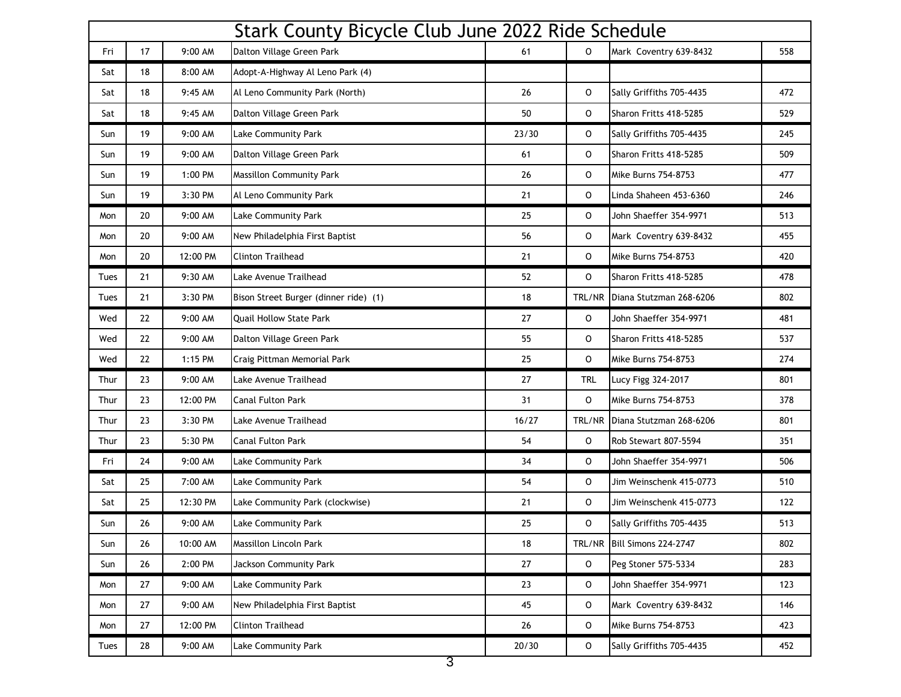| Stark County Bicycle Club June 2022 Ride Schedule |    |          |                                       |        |            |                          |     |
|---------------------------------------------------|----|----------|---------------------------------------|--------|------------|--------------------------|-----|
| Fri                                               | 17 | 9:00 AM  | Dalton Village Green Park             | 61     | 0          | Mark Coventry 639-8432   | 558 |
| Sat                                               | 18 | 8:00 AM  | Adopt-A-Highway Al Leno Park (4)      |        |            |                          |     |
| Sat                                               | 18 | 9:45 AM  | Al Leno Community Park (North)        | 26     | 0          | Sally Griffiths 705-4435 | 472 |
| Sat                                               | 18 | 9:45 AM  | Dalton Village Green Park             | 50     | 0          | Sharon Fritts 418-5285   | 529 |
| Sun                                               | 19 | 9:00 AM  | Lake Community Park                   | 23/30  | 0          | Sally Griffiths 705-4435 | 245 |
| Sun                                               | 19 | 9:00 AM  | Dalton Village Green Park             | 61     | 0          | Sharon Fritts 418-5285   | 509 |
| Sun                                               | 19 | 1:00 PM  | <b>Massillon Community Park</b>       | 26     | 0          | Mike Burns 754-8753      | 477 |
| Sun                                               | 19 | 3:30 PM  | Al Leno Community Park                | 21     | 0          | Linda Shaheen 453-6360   | 246 |
| Mon                                               | 20 | 9:00 AM  | Lake Community Park                   | 25     | 0          | John Shaeffer 354-9971   | 513 |
| Mon                                               | 20 | 9:00 AM  | New Philadelphia First Baptist        | 56     | O          | Mark Coventry 639-8432   | 455 |
| Mon                                               | 20 | 12:00 PM | <b>Clinton Trailhead</b>              | 21     | 0          | Mike Burns 754-8753      | 420 |
| Tues                                              | 21 | 9:30 AM  | Lake Avenue Trailhead                 | 52     | 0          | Sharon Fritts 418-5285   | 478 |
| Tues                                              | 21 | 3:30 PM  | Bison Street Burger (dinner ride) (1) | 18     | TRL/NR     | Diana Stutzman 268-6206  | 802 |
| Wed                                               | 22 | 9:00 AM  | <b>Ouail Hollow State Park</b>        | 27     | 0          | John Shaeffer 354-9971   | 481 |
| Wed                                               | 22 | 9:00 AM  | Dalton Village Green Park             | 55     | 0          | Sharon Fritts 418-5285   | 537 |
| Wed                                               | 22 | 1:15 PM  | Craig Pittman Memorial Park           | 25     | 0          | Mike Burns 754-8753      | 274 |
| Thur                                              | 23 | 9:00 AM  | Lake Avenue Trailhead                 | 27     | <b>TRL</b> | Lucy Figg 324-2017       | 801 |
| Thur                                              | 23 | 12:00 PM | <b>Canal Fulton Park</b>              | 31     | 0          | Mike Burns 754-8753      | 378 |
| Thur                                              | 23 | 3:30 PM  | Lake Avenue Trailhead                 | 16/27  | TRL/NR     | Diana Stutzman 268-6206  | 801 |
| Thur                                              | 23 | 5:30 PM  | <b>Canal Fulton Park</b>              | 54     | 0          | Rob Stewart 807-5594     | 351 |
| Fri                                               | 24 | 9:00 AM  | Lake Community Park                   | 34     | 0          | John Shaeffer 354-9971   | 506 |
| Sat                                               | 25 | 7:00 AM  | Lake Community Park                   | 54     | 0          | Jim Weinschenk 415-0773  | 510 |
| Sat                                               | 25 | 12:30 PM | Lake Community Park (clockwise)       | 21     | 0          | Jim Weinschenk 415-0773  | 122 |
| Sun                                               | 26 | 9:00 AM  | <b>Lake Community Park</b>            | 25     | 0          | Sally Griffiths 705-4435 | 513 |
| Sun                                               | 26 | 10:00 AM | Massillon Lincoln Park                | 18     | TRL/NR     | Bill Simons 224-2747     | 802 |
| Sun                                               | 26 | 2:00 PM  | Jackson Community Park                | $27\,$ | 0          | Peg Stoner 575-5334      | 283 |
| Mon                                               | 27 | 9:00 AM  | Lake Community Park                   | 23     | 0          | John Shaeffer 354-9971   | 123 |
| Mon                                               | 27 | 9:00 AM  | New Philadelphia First Baptist        | 45     | 0          | Mark Coventry 639-8432   | 146 |
| Mon                                               | 27 | 12:00 PM | <b>Clinton Trailhead</b>              | 26     | 0          | Mike Burns 754-8753      | 423 |
| Tues                                              | 28 | 9:00 AM  | Lake Community Park                   | 20/30  | 0          | Sally Griffiths 705-4435 | 452 |